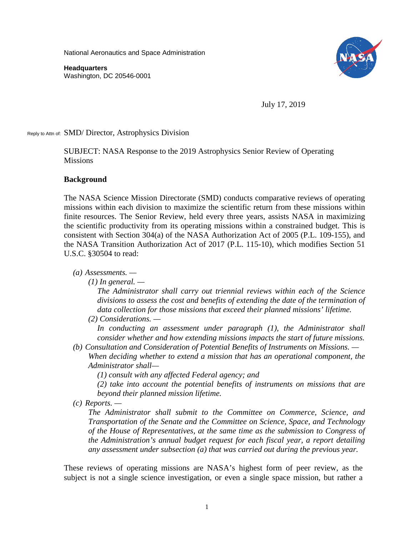National Aeronautics and Space Administration

**Headquarters** Washington, DC 20546-0001



July 17, 2019

Reply to Attn of: SMD/ Director, Astrophysics Division

SUBJECT: NASA Response to the 2019 Astrophysics Senior Review of Operating Missions

### **Background**

The NASA Science Mission Directorate (SMD) conducts comparative reviews of operating missions within each division to maximize the scientific return from these missions within finite resources. The Senior Review, held every three years, assists NASA in maximizing the scientific productivity from its operating missions within a constrained budget. This is consistent with Section 304(a) of the NASA Authorization Act of 2005 (P.L. 109-155), and the NASA Transition Authorization Act of 2017 (P.L. 115-10), which modifies Section 51 U.S.C. §30504 to read:

*(a) Assessments. —*

*(1) In general. —*

*The Administrator shall carry out triennial reviews within each of the Science divisions to assess the cost and benefits of extending the date of the termination of data collection for those missions that exceed their planned missions' lifetime.*

*(2) Considerations. —*

*In conducting an assessment under paragraph (1), the Administrator shall consider whether and how extending missions impacts the start of future missions.*

*(b) Consultation and Consideration of Potential Benefits of Instruments on Missions. — When deciding whether to extend a mission that has an operational component, the Administrator shall—*

*(1) consult with any affected Federal agency; and*

*(2) take into account the potential benefits of instruments on missions that are beyond their planned mission lifetime.*

*(c) Reports. —*

*The Administrator shall submit to the Committee on Commerce, Science, and Transportation of the Senate and the Committee on Science, Space, and Technology of the House of Representatives, at the same time as the submission to Congress of the Administration's annual budget request for each fiscal year, a report detailing any assessment under subsection (a) that was carried out during the previous year.* 

These reviews of operating missions are NASA's highest form of peer review, as the subject is not a single science investigation, or even a single space mission, but rather a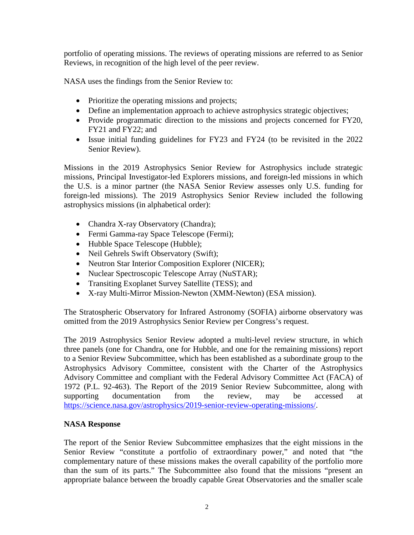portfolio of operating missions. The reviews of operating missions are referred to as Senior Reviews, in recognition of the high level of the peer review.

NASA uses the findings from the Senior Review to:

- Prioritize the operating missions and projects;
- Define an implementation approach to achieve astrophysics strategic objectives;
- Provide programmatic direction to the missions and projects concerned for FY20, FY21 and FY22; and
- Issue initial funding guidelines for FY23 and FY24 (to be revisited in the 2022 Senior Review).

Missions in the 2019 Astrophysics Senior Review for Astrophysics include strategic missions, Principal Investigator-led Explorers missions, and foreign-led missions in which the U.S. is a minor partner (the NASA Senior Review assesses only U.S. funding for foreign-led missions). The 2019 Astrophysics Senior Review included the following astrophysics missions (in alphabetical order):

- Chandra X-ray Observatory (Chandra);
- Fermi Gamma-ray Space Telescope (Fermi);
- Hubble Space Telescope (Hubble);
- Neil Gehrels Swift Observatory (Swift);
- Neutron Star Interior Composition Explorer (NICER);
- Nuclear Spectroscopic Telescope Array (NuSTAR);
- Transiting Exoplanet Survey Satellite (TESS); and
- X-ray Multi-Mirror Mission-Newton (XMM-Newton) (ESA mission).

The Stratospheric Observatory for Infrared Astronomy (SOFIA) airborne observatory was omitted from the 2019 Astrophysics Senior Review per Congress's request.

The 2019 Astrophysics Senior Review adopted a multi-level review structure, in which three panels (one for Chandra, one for Hubble, and one for the remaining missions) report to a Senior Review Subcommittee, which has been established as a subordinate group to the Astrophysics Advisory Committee, consistent with the Charter of the Astrophysics Advisory Committee and compliant with the Federal Advisory Committee Act (FACA) of 1972 (P.L. 92-463). The Report of the 2019 Senior Review Subcommittee, along with supporting documentation from the review, may be accessed at [https://science.nasa.gov/astrophysics/2019-senior-review-operating-missions/.](https://science.nasa.gov/astrophysics/2019-senior-review-operating-missions/)

# **NASA Response**

The report of the Senior Review Subcommittee emphasizes that the eight missions in the Senior Review "constitute a portfolio of extraordinary power," and noted that "the complementary nature of these missions makes the overall capability of the portfolio more than the sum of its parts." The Subcommittee also found that the missions "present an appropriate balance between the broadly capable Great Observatories and the smaller scale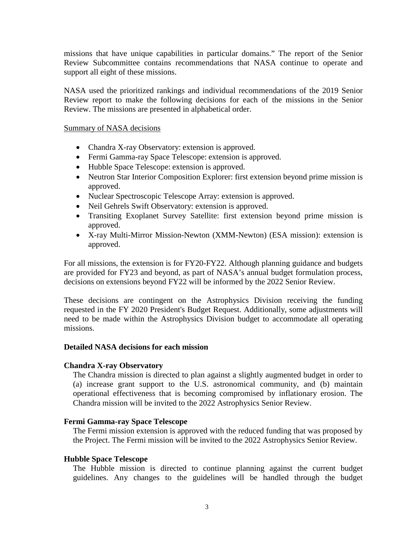missions that have unique capabilities in particular domains." The report of the Senior Review Subcommittee contains recommendations that NASA continue to operate and support all eight of these missions.

NASA used the prioritized rankings and individual recommendations of the 2019 Senior Review report to make the following decisions for each of the missions in the Senior Review. The missions are presented in alphabetical order.

### Summary of NASA decisions

- Chandra X-ray Observatory: extension is approved.
- Fermi Gamma-ray Space Telescope: extension is approved.
- Hubble Space Telescope: extension is approved.
- Neutron Star Interior Composition Explorer: first extension beyond prime mission is approved.
- Nuclear Spectroscopic Telescope Array: extension is approved.
- Neil Gehrels Swift Observatory: extension is approved.
- Transiting Exoplanet Survey Satellite: first extension beyond prime mission is approved.
- X-ray Multi-Mirror Mission-Newton (XMM-Newton) (ESA mission): extension is approved.

For all missions, the extension is for FY20-FY22. Although planning guidance and budgets are provided for FY23 and beyond, as part of NASA's annual budget formulation process, decisions on extensions beyond FY22 will be informed by the 2022 Senior Review.

These decisions are contingent on the Astrophysics Division receiving the funding requested in the FY 2020 President's Budget Request. Additionally, some adjustments will need to be made within the Astrophysics Division budget to accommodate all operating missions.

# **Detailed NASA decisions for each mission**

# **Chandra X-ray Observatory**

The Chandra mission is directed to plan against a slightly augmented budget in order to (a) increase grant support to the U.S. astronomical community, and (b) maintain operational effectiveness that is becoming compromised by inflationary erosion. The Chandra mission will be invited to the 2022 Astrophysics Senior Review.

# **Fermi Gamma-ray Space Telescope**

The Fermi mission extension is approved with the reduced funding that was proposed by the Project. The Fermi mission will be invited to the 2022 Astrophysics Senior Review.

# **Hubble Space Telescope**

The Hubble mission is directed to continue planning against the current budget guidelines. Any changes to the guidelines will be handled through the budget